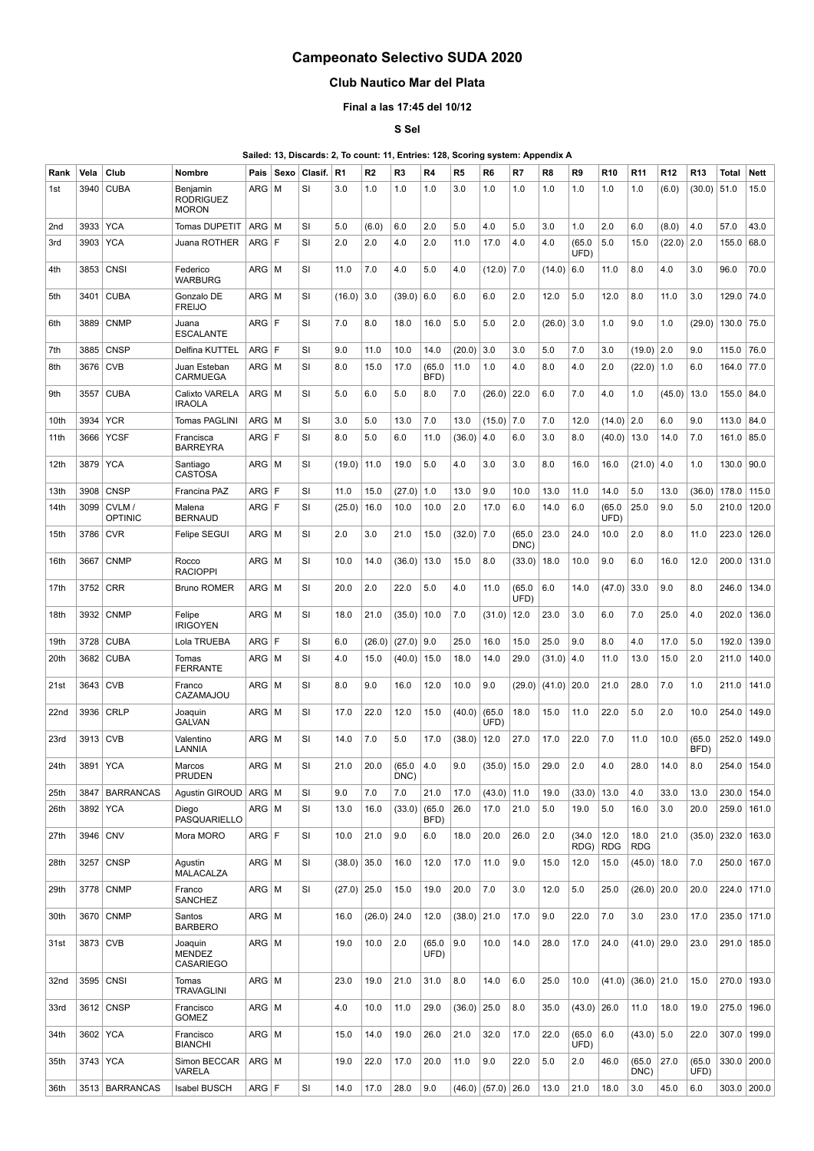## **Campeonato Selectivo SUDA 2020**

## **Club Nautico Mar del Plata**

## **Final a las 17:45 del 10/12**

**S Sel**

**Sailed: 13, Discards: 2, To count: 11, Entries: 128, Scoring system: Appendix A**

| Rank            | Vela | Club                    | <b>Nombre</b>                                | Pais         | Sexo | Clasif.   | R <sub>1</sub> | R <sub>2</sub> | R3             | R4             | R <sub>5</sub> | R6             | R7             | R <sub>8</sub> | R9             | R <sub>10</sub> | R <sub>11</sub>    | R12    | R <sub>13</sub> | <b>Total</b> | Nett          |
|-----------------|------|-------------------------|----------------------------------------------|--------------|------|-----------|----------------|----------------|----------------|----------------|----------------|----------------|----------------|----------------|----------------|-----------------|--------------------|--------|-----------------|--------------|---------------|
| 1st             | 3940 | <b>CUBA</b>             | Benjamin<br><b>RODRIGUEZ</b><br><b>MORON</b> | ARG          | M    | SI        | 3.0            | 1.0            | 1.0            | 1.0            | 3.0            | 1.0            | 1.0            | 1.0            | 1.0            | 1.0             | 1.0                | (6.0)  | (30.0)          | 51.0         | 15.0          |
| 2 <sub>nd</sub> | 3933 | <b>YCA</b>              | Tomas DUPETIT                                | ARG          | l M  | <b>SI</b> | 5.0            | (6.0)          | 6.0            | 2.0            | 5.0            | 4.0            | 5.0            | 3.0            | 1.0            | 2.0             | 6.0                | (8.0)  | 4.0             | 57.0         | 43.0          |
| 3rd             | 3903 | <b>YCA</b>              | Juana ROTHER                                 | ARG          | ١F   | SI        | 2.0            | 2.0            | 4.0            | 2.0            | 11.0           | 17.0           | 4.0            | 4.0            | (65.0)<br>UFD) | 5.0             | 15.0               | (22.0) | 2.0             | 155.0        | 68.0          |
| 4th             | 3853 | <b>CNSI</b>             | Federico<br><b>WARBURG</b>                   | ARG   M      |      | SI        | 11.0           | $7.0$          | 4.0            | 5.0            | 4.0            | (12.0)         | 7.0            | (14.0)         | 6.0            | 11.0            | 8.0                | 4.0    | 3.0             | 96.0         | 70.0          |
| 5th             | 3401 | <b>CUBA</b>             | Gonzalo DE<br><b>FREIJO</b>                  | ARG   M      |      | SI        | (16.0)         | 3.0            | (39.0)         | 6.0            | 6.0            | 6.0            | 2.0            | 12.0           | 5.0            | 12.0            | 8.0                | 11.0   | 3.0             | 129.0        | 74.0          |
| 6th             | 3889 | <b>CNMP</b>             | Juana<br><b>ESCALANTE</b>                    | ARG F        |      | SI        | 7.0            | 8.0            | 18.0           | 16.0           | 5.0            | 5.0            | 2.0            | (26.0)         | 3.0            | 1.0             | 9.0                | 1.0    | (29.0)          | 130.0        | 75.0          |
| 7th             | 3885 | <b>CNSP</b>             | Delfina KUTTEL                               | ARG          | l F  | SI        | 9.0            | 11.0           | 10.0           | 14.0           | (20.0)         | 3.0            | 3.0            | 5.0            | 7.0            | 3.0             | $(19.0)$ 2.0       |        | 9.0             | 115.0        | 76.0          |
| 8th             | 3676 | <b>CVB</b>              | Juan Esteban<br><b>CARMUEGA</b>              | ARG   M      |      | SI        | 8.0            | 15.0           | 17.0           | (65.0)<br>BFD) | 11.0           | 1.0            | 4.0            | 8.0            | 4.0            | 2.0             | (22.0)             | 1.0    | 6.0             | 164.0        | 77.0          |
| 9th             | 3557 | <b>CUBA</b>             | Calixto VARELA<br>IRAOLA                     | $ARG \mid M$ |      | SI        | 5.0            | 6.0            | 5.0            | 8.0            | 7.0            | (26.0)         | 22.0           | 6.0            | 7.0            | 4.0             | 1.0                | (45.0) | 13.0            | 155.0        | 84.0          |
| 10th            | 3934 | <b>YCR</b>              | Tomas PAGLINI                                | ARG          | M    | SI        | 3.0            | 5.0            | 13.0           | 7.0            | 13.0           | (15.0)         | 7.0            | 7.0            | 12.0           | (14.0)          | 2.0                | 6.0    | 9.0             | 113.0        | 84.0          |
| 11th            | 3666 | <b>YCSF</b>             | Francisca<br><b>BARREYRA</b>                 | ARG F        |      | SI        | 8.0            | 5.0            | 6.0            | 11.0           | (36.0)         | 4.0            | 6.0            | 3.0            | 8.0            | (40.0)          | 13.0               | 14.0   | 7.0             | 161.0        | 85.0          |
| 12th            | 3879 | <b>YCA</b>              | Santiago<br><b>CASTOSA</b>                   | ARG   M      |      | SI        | (19.0)         | 11.0           | 19.0           | 5.0            | 4.0            | 3.0            | 3.0            | 8.0            | 16.0           | 16.0            | (21.0)             | 4.0    | 1.0             | 130.0        | 90.0          |
| 13th            | 3908 | <b>CNSP</b>             | Francina PAZ                                 | ARG          | F    | <b>SI</b> | 11.0           | 15.0           | (27.0)         | 1.0            | 13.0           | 9.0            | 10.0           | 13.0           | 11.0           | 14.0            | 5.0                | 13.0   | (36.0)          | 178.0        | 115.0         |
| 14th            | 3099 | CVLM/<br><b>OPTINIC</b> | Malena<br><b>BERNAUD</b>                     | ARG F        |      | SI        | (25.0)         | 16.0           | 10.0           | 10.0           | 2.0            | 17.0           | 6.0            | 14.0           | 6.0            | (65.0)<br>UFD)  | 25.0               | 9.0    | 5.0             | 210.0        | 120.0         |
| 15th            | 3786 | <b>CVR</b>              | Felipe SEGUI                                 | $ARG \mid M$ |      | SI        | 2.0            | 3.0            | 21.0           | 15.0           | (32.0)         | 7.0            | (65.0)<br>DNC) | 23.0           | 24.0           | 10.0            | 2.0                | 8.0    | 11.0            | 223.0        | 126.0         |
| 16th            | 3667 | <b>CNMP</b>             | Rocco<br><b>RACIOPPI</b>                     | ARG   M      |      | SI        | 10.0           | 14.0           | (36.0)         | 13.0           | 15.0           | 8.0            | (33.0)         | 18.0           | 10.0           | 9.0             | 6.0                | 16.0   | 12.0            | 200.0        | 131.0         |
| 17th            | 3752 | <b>CRR</b>              | <b>Bruno ROMER</b>                           | $ARG \mid M$ |      | SI        | 20.0           | 2.0            | 22.0           | 5.0            | 4.0            | 11.0           | (65.0)<br>UFD) | 6.0            | 14.0           | (47.0)          | 33.0               | 9.0    | 8.0             | 246.0        | 134.0         |
| 18th            | 3932 | <b>CNMP</b>             | Felipe<br><b>IRIGOYEN</b>                    | $ARG \mid M$ |      | SI        | 18.0           | 21.0           | (35.0)         | 10.0           | 7.0            | (31.0)         | 12.0           | 23.0           | 3.0            | 6.0             | 7.0                | 25.0   | 4.0             | 202.0        | 136.0         |
| 19th            | 3728 | <b>CUBA</b>             | Lola TRUEBA                                  | ARG          | F    | <b>SI</b> | 6.0            | (26.0)         | (27.0)         | 9.0            | 25.0           | 16.0           | 15.0           | 25.0           | 9.0            | 8.0             | 4.0                | 17.0   | 5.0             | 192.0        | 139.0         |
| 20th            | 3682 | <b>CUBA</b>             | Tomas<br><b>FERRANTE</b>                     | ARG   M      |      | SI        | 4.0            | 15.0           | (40.0)         | 15.0           | 18.0           | 14.0           | 29.0           | (31.0)         | 4.0            | 11.0            | 13.0               | 15.0   | 2.0             | 211.0        | 140.0         |
| 21st            | 3643 | <b>CVB</b>              | Franco<br>CAZAMAJOU                          | $ARG$ M      |      | SI        | 8.0            | 9.0            | 16.0           | 12.0           | 10.0           | 9.0            | (29.0)         | (41.0)         | 20.0           | 21.0            | 28.0               | 7.0    | 1.0             | 211.0        | 141.0         |
| 22nd            | 3936 | CRLP                    | Joaquin<br><b>GALVAN</b>                     | ARG   M      |      | <b>SI</b> | 17.0           | 22.0           | 12.0           | 15.0           | (40.0)         | (65.0)<br>UFD) | 18.0           | 15.0           | 11.0           | 22.0            | 5.0                | 2.0    | 10.0            | 254.0        | 149.0         |
| 23rd            | 3913 | <b>CVB</b>              | Valentino<br>LANNIA                          | ARG M        |      | SI        | 14.0           | 7.0            | 5.0            | 17.0           | (38.0)         | 12.0           | 27.0           | 17.0           | 22.0           | 7.0             | 11.0               | 10.0   | (65.0)<br>BFD)  | 252.0        | 149.0         |
| 24th            | 3891 | <b>YCA</b>              | Marcos<br>PRUDEN                             | ARG   M      |      | <b>SI</b> | 21.0           | 20.0           | (65.0)<br>DNC) | 4.0            | 9.0            | (35.0)         | 15.0           | 29.0           | 2.0            | 4.0             | 28.0               | 14.0   | 8.0             | 254.0        | 154.0         |
| 25th            | 3847 | <b>BARRANCAS</b>        | Agustin GIROUD                               | ARG   M      |      | SI        | 9.0            | 7.0            | 7.0            | 21.0           | 17.0           | (43.0)         | 11.0           | 19.0           | (33.0)         | 13.0            | 4.0                | 33.0   | 13.0            | 230.0        | 154.0         |
| 26th            | 3892 | YCA                     | Diego<br>PASQUARIELLO                        | $ARG \mid M$ |      | SI        | 13.0           | 16.0           | (33.0)         | (65.0)<br>BFD) | 26.0           | 17.0           | 21.0           | 5.0            | 19.0           | 5.0             | 16.0               | 3.0    | 20.0            | 259.0        | 161.0         |
| 27th            | 3946 | <b>CNV</b>              | Mora MORO                                    | ARG F        |      | SI        | 10.0           | 21.0           | 9.0            | 6.0            | 18.0           | 20.0           | 26.0           | 2.0            | (34.0)<br>RDG) | 12.0<br>RDG     | 18.0<br><b>RDG</b> | 21.0   | (35.0)          | 232.0        | 163.0         |
| 28th            | 3257 | <b>CNSP</b>             | Agustin<br>MALACALZA                         | $ARG$ $M$    |      | SI        | (38.0)         | 35.0           | 16.0           | 12.0           | 17.0           | 11.0           | 9.0            | 15.0           | 12.0           | 15.0            | (45.0)             | 18.0   | 7.0             | 250.0        | 167.0         |
| 29th            |      | 3778 CNMP               | Franco<br>SANCHEZ                            | $ARG$ $M$    |      | SI        | $(27.0)$ 25.0  |                | 15.0           | 19.0           | 20.0           | 7.0            | 3.0            | 12.0           | 5.0            | 25.0            | (26.0)             | 20.0   | 20.0            | 224.0        | 171.0         |
| 30th            | 3670 | <b>CNMP</b>             | Santos<br><b>BARBERO</b>                     | ARG   M      |      |           | 16.0           | (26.0)         | 24.0           | 12.0           | (38.0)         | 21.0           | 17.0           | 9.0            | 22.0           | 7.0             | 3.0                | 23.0   | 17.0            | 235.0        | 171.0         |
| 31st            |      | 3873 CVB                | Joaquin<br><b>MENDEZ</b><br><b>CASARIEGO</b> | $ARG$ $M$    |      |           | 19.0           | 10.0           | 2.0            | (65.0)<br>UFD) | 9.0            | 10.0           | 14.0           | 28.0           | 17.0           | 24.0            | (41.0)             | 29.0   | 23.0            | 291.0        | 185.0         |
| 32nd            | 3595 | CNSI                    | Tomas<br><b>TRAVAGLINI</b>                   | $ARG$ $M$    |      |           | 23.0           | 19.0           | 21.0           | 31.0           | 8.0            | 14.0           | 6.0            | 25.0           | 10.0           | (41.0)          | $(36.0)$ 21.0      |        | 15.0            | 270.0        | 193.0         |
| 33rd            | 3612 | <b>CNSP</b>             | Francisco<br><b>GOMEZ</b>                    | ARG   M      |      |           | 4.0            | 10.0           | 11.0           | 29.0           | (36.0)         | 25.0           | 8.0            | 35.0           | $(43.0)$ 26.0  |                 | 11.0               | 18.0   | 19.0            | 275.0        | 196.0         |
| 34th            |      | 3602 YCA                | Francisco<br><b>BIANCHI</b>                  | $ARG \mid M$ |      |           | 15.0           | 14.0           | 19.0           | 26.0           | 21.0           | 32.0           | 17.0           | 22.0           | (65.0)<br>UFD) | 6.0             | $(43.0)$ 5.0       |        | 22.0            | 307.0        | 199.0         |
| 35th            |      | 3743 YCA                | Simon BECCAR<br>VARELA                       | $ARG \mid M$ |      |           | 19.0           | 22.0           | 17.0           | 20.0           | 11.0           | 9.0            | 22.0           | 5.0            | 2.0            | 46.0            | (65.0)<br>DNC)     | 27.0   | (65.0)<br>UFD)  | 330.0        | 200.0         |
| 36th            |      | 3513   BARRANCAS        | <b>Isabel BUSCH</b>                          | ARG F        |      | SI        | 14.0           | 17.0           | 28.0           | 9.0            | (46.0)         | (57.0)         | 26.0           | 13.0           | 21.0           | 18.0            | 3.0                | 45.0   | 6.0             |              | 303.0   200.0 |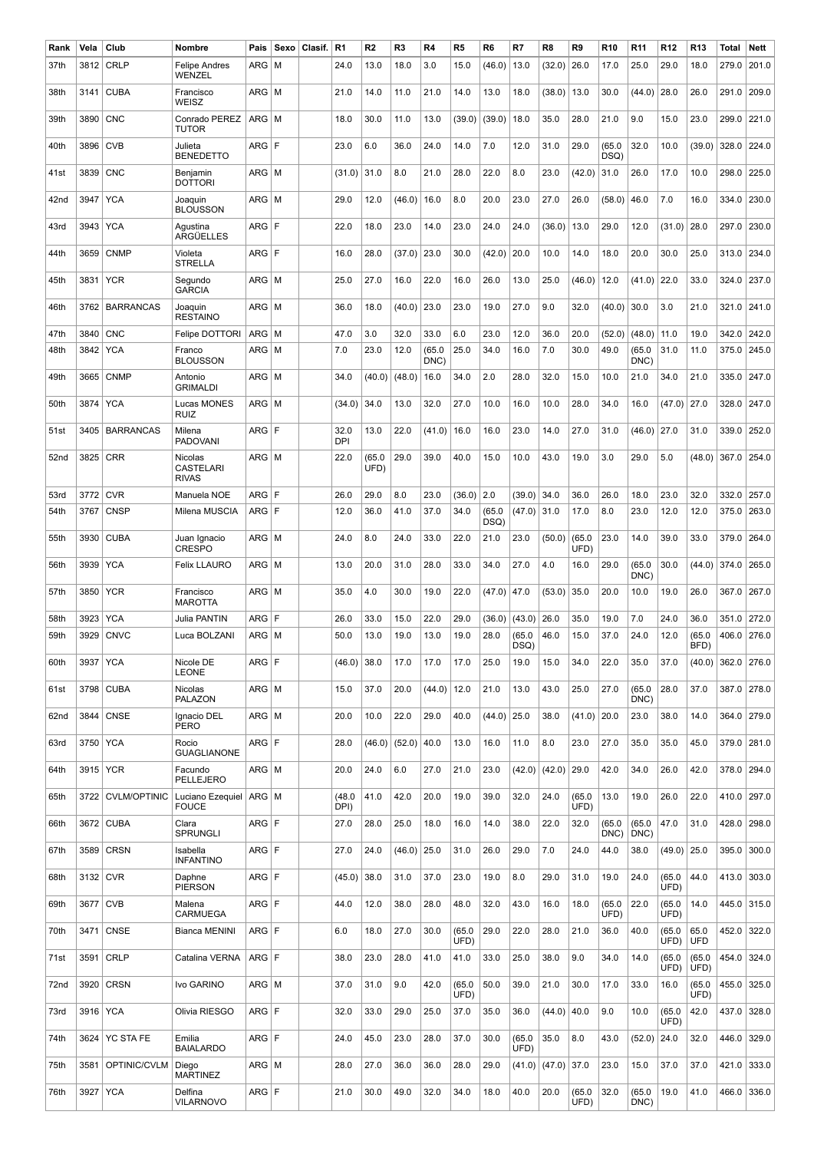| Rank | Vela     | Club                | Nombre                                      | Pais         | Sexo | Clasif. | R <sub>1</sub>     | R2             | R <sub>3</sub> | R4             | R <sub>5</sub> | R <sub>6</sub> | R7             | R8     | R9             | R <sub>10</sub> | R <sub>11</sub> | R <sub>12</sub> | R <sub>13</sub> | Total | Nett  |
|------|----------|---------------------|---------------------------------------------|--------------|------|---------|--------------------|----------------|----------------|----------------|----------------|----------------|----------------|--------|----------------|-----------------|-----------------|-----------------|-----------------|-------|-------|
| 37th | 3812     | <b>CRLP</b>         | Felipe Andres<br>WENZEL                     | ARG          | l M  |         | 24.0               | 13.0           | 18.0           | 3.0            | 15.0           | (46.0)         | 13.0           | (32.0) | 26.0           | 17.0            | 25.0            | 29.0            | 18.0            | 279.0 | 201.0 |
| 38th | 3141     | <b>CUBA</b>         | Francisco<br>WEISZ                          | $ARG$   M    |      |         | 21.0               | 14.0           | 11.0           | 21.0           | 14.0           | 13.0           | 18.0           | (38.0) | 13.0           | 30.0            | (44.0)          | 28.0            | 26.0            | 291.0 | 209.0 |
| 39th | 3890     | <b>CNC</b>          | Conrado PEREZ<br><b>TUTOR</b>               | $ARG \mid M$ |      |         | 18.0               | 30.0           | 11.0           | 13.0           | (39.0)         | (39.0)         | 18.0           | 35.0   | 28.0           | 21.0            | 9.0             | 15.0            | 23.0            | 299.0 | 221.0 |
| 40th | 3896     | <b>CVB</b>          | Julieta<br><b>BENEDETTO</b>                 | ARG F        |      |         | 23.0               | 6.0            | 36.0           | 24.0           | 14.0           | 7.0            | 12.0           | 31.0   | 29.0           | (65.0)<br>DSQ)  | 32.0            | 10.0            | (39.0)          | 328.0 | 224.0 |
| 41st | 3839     | <b>CNC</b>          | Benjamin<br><b>DOTTORI</b>                  | $ARG \mid M$ |      |         | (31.0)             | 31.0           | 8.0            | 21.0           | 28.0           | 22.0           | 8.0            | 23.0   | (42.0)         | 31.0            | 26.0            | 17.0            | 10.0            | 298.0 | 225.0 |
| 42nd | 3947     | <b>YCA</b>          | Joaquin<br><b>BLOUSSON</b>                  | $ARG$ M      |      |         | 29.0               | 12.0           | (46.0)         | 16.0           | 8.0            | 20.0           | 23.0           | 27.0   | 26.0           | (58.0)          | 46.0            | 7.0             | 16.0            | 334.0 | 230.0 |
| 43rd | 3943     | <b>YCA</b>          | Agustina<br>ARGÜELLES                       | ARG F        |      |         | 22.0               | 18.0           | 23.0           | 14.0           | 23.0           | 24.0           | 24.0           | (36.0) | 13.0           | 29.0            | 12.0            | (31.0)          | 28.0            | 297.0 | 230.0 |
| 44th | 3659     | <b>CNMP</b>         | Violeta<br><b>STRELLA</b>                   | ARG F        |      |         | 16.0               | 28.0           | (37.0)         | 23.0           | 30.0           | (42.0)         | 20.0           | 10.0   | 14.0           | 18.0            | 20.0            | 30.0            | 25.0            | 313.0 | 234.0 |
| 45th | 3831     | <b>YCR</b>          | Segundo<br><b>GARCIA</b>                    | $ARG$   M    |      |         | 25.0               | 27.0           | 16.0           | 22.0           | 16.0           | 26.0           | 13.0           | 25.0   | (46.0)         | 12.0            | (41.0)          | 22.0            | 33.0            | 324.0 | 237.0 |
| 46th | 3762     | <b>BARRANCAS</b>    | Joaquin<br><b>RESTAINO</b>                  | $ARG$ M      |      |         | 36.0               | 18.0           | (40.0)         | 23.0           | 23.0           | 19.0           | 27.0           | 9.0    | 32.0           | (40.0)          | 30.0            | 3.0             | 21.0            | 321.0 | 241.0 |
| 47th | 3840     | <b>CNC</b>          | Felipe DOTTORI                              | ARG          | l M  |         | 47.0               | 3.0            | 32.0           | 33.0           | 6.0            | 23.0           | 12.0           | 36.0   | 20.0           | (52.0)          | (48.0)          | 11.0            | 19.0            | 342.0 | 242.0 |
| 48th | 3842     | <b>YCA</b>          | Franco<br><b>BLOUSSON</b>                   | ARG          | l M  |         | 7.0                | 23.0           | 12.0           | (65.0)<br>DNC) | 25.0           | 34.0           | 16.0           | 7.0    | 30.0           | 49.0            | (65.0<br>DNC)   | 31.0            | 11.0            | 375.0 | 245.0 |
| 49th | 3665     | <b>CNMP</b>         | Antonio<br><b>GRIMALDI</b>                  | $ARG \mid M$ |      |         | 34.0               | (40.0)         | (48.0)         | 16.0           | 34.0           | 2.0            | 28.0           | 32.0   | 15.0           | 10.0            | 21.0            | 34.0            | 21.0            | 335.0 | 247.0 |
| 50th | 3874     | <b>YCA</b>          | Lucas MONES<br><b>RUIZ</b>                  | ARG          | M    |         | (34.0)             | 34.0           | 13.0           | 32.0           | 27.0           | 10.0           | 16.0           | 10.0   | 28.0           | 34.0            | 16.0            | (47.0)          | 27.0            | 328.0 | 247.0 |
| 51st | 3405     | <b>BARRANCAS</b>    | Milena<br><b>PADOVANI</b>                   | ARG F        |      |         | 32.0<br><b>DPI</b> | 13.0           | 22.0           | (41.0)         | 16.0           | 16.0           | 23.0           | 14.0   | 27.0           | 31.0            | (46.0)          | 27.0            | 31.0            | 339.0 | 252.0 |
| 52nd | 3825     | <b>CRR</b>          | Nicolas<br><b>CASTELARI</b><br><b>RIVAS</b> | $ARG$ M      |      |         | 22.0               | (65.0)<br>UFD) | 29.0           | 39.0           | 40.0           | 15.0           | 10.0           | 43.0   | 19.0           | 3.0             | 29.0            | 5.0             | (48.0)          | 367.0 | 254.0 |
| 53rd | 3772     | <b>CVR</b>          | Manuela NOE                                 | ARG          | ١F   |         | 26.0               | 29.0           | 8.0            | 23.0           | (36.0)         | 2.0            | (39.0)         | 34.0   | 36.0           | 26.0            | 18.0            | 23.0            | 32.0            | 332.0 | 257.0 |
| 54th | 3767     | <b>CNSP</b>         | Milena MUSCIA                               | ARG F        |      |         | 12.0               | 36.0           | 41.0           | 37.0           | 34.0           | (65.0)<br>DSQ) | (47.0)         | 31.0   | 17.0           | 8.0             | 23.0            | 12.0            | 12.0            | 375.0 | 263.0 |
| 55th | 3930     | <b>CUBA</b>         | Juan Ignacio<br><b>CRESPO</b>               | $ARG$ M      |      |         | 24.0               | 8.0            | 24.0           | 33.0           | 22.0           | 21.0           | 23.0           | (50.0) | (65.0)<br>UFD) | 23.0            | 14.0            | 39.0            | 33.0            | 379.0 | 264.0 |
| 56th | 3939     | <b>YCA</b>          | <b>Felix LLAURO</b>                         | $ARG$ M      |      |         | 13.0               | 20.0           | 31.0           | 28.0           | 33.0           | 34.0           | 27.0           | 4.0    | 16.0           | 29.0            | (65.0)<br>DNC)  | 30.0            | (44.0)          | 374.0 | 265.0 |
| 57th | 3850     | <b>YCR</b>          | Francisco<br><b>MAROTTA</b>                 | $ARG$   M    |      |         | 35.0               | 4.0            | 30.0           | 19.0           | 22.0           | (47.0)         | 47.0           | (53.0) | 35.0           | 20.0            | 10.0            | 19.0            | 26.0            | 367.0 | 267.0 |
| 58th | 3923     | <b>YCA</b>          | Julia PANTIN                                | ARG F        |      |         | 26.0               | 33.0           | 15.0           | 22.0           | 29.0           | (36.0)         | (43.0)         | 26.0   | 35.0           | 19.0            | 7.0             | 24.0            | 36.0            | 351.0 | 272.0 |
| 59th | 3929     | <b>CNVC</b>         | Luca BOLZANI                                | $ARG$   M    |      |         | 50.0               | 13.0           | 19.0           | 13.0           | 19.0           | 28.0           | (65.0)<br>DSQ) | 46.0   | 15.0           | 37.0            | 24.0            | 12.0            | (65.0)<br>BFD)  | 406.0 | 276.0 |
| 60th | 3937     | <b>YCA</b>          | Nicole DE<br><b>LEONE</b>                   | ARG F        |      |         | (46.0)             | 38.0           | 17.0           | 17.0           | 17.0           | 25.0           | 19.0           | 15.0   | 34.0           | 22.0            | 35.0            | 37.0            | (40.0)          | 362.0 | 276.0 |
| 61st | 3798     | <b>CUBA</b>         | Nicolas<br><b>PALAZON</b>                   | $ARG \mid M$ |      |         | 15.0               | 37.0           | 20.0           | (44.0)         | 12.0           | 21.0           | 13.0           | 43.0   | 25.0           | 27.0            | (65.0)<br>DNC)  | 28.0            | 37.0            | 387.0 | 278.0 |
| 62nd | 3844     | <b>CNSE</b>         | Ignacio DEL<br>PERO                         | $ARG \mid M$ |      |         | 20.0               | 10.0           | 22.0           | 29.0           | 40.0           | (44.0)         | 25.0           | 38.0   | (41.0)         | 20.0            | 23.0            | 38.0            | 14.0            | 364.0 | 279.0 |
| 63rd | 3750     | <b>YCA</b>          | Rocio<br><b>GUAGLIANONE</b>                 | ARG F        |      |         | 28.0               | (46.0)         | (52.0)         | 40.0           | 13.0           | 16.0           | 11.0           | 8.0    | 23.0           | 27.0            | 35.0            | 35.0            | 45.0            | 379.0 | 281.0 |
| 64th |          | 3915 YCR            | Facundo<br>PELLEJERO                        | $ARG$ M      |      |         | 20.0               | 24.0           | 6.0            | 27.0           | 21.0           | 23.0           | (42.0)         | (42.0) | 29.0           | 42.0            | 34.0            | 26.0            | 42.0            | 378.0 | 294.0 |
| 65th | 3722     | <b>CVLM/OPTINIC</b> | Luciano Ezequiel<br><b>FOUCE</b>            | ARG   M      |      |         | (48.0<br>DPI)      | 41.0           | 42.0           | 20.0           | 19.0           | 39.0           | 32.0           | 24.0   | (65.0)<br>UFD) | 13.0            | 19.0            | 26.0            | 22.0            | 410.0 | 297.0 |
| 66th |          | 3672 CUBA           | Clara<br><b>SPRUNGLI</b>                    | ARG F        |      |         | 27.0               | 28.0           | 25.0           | 18.0           | 16.0           | 14.0           | 38.0           | 22.0   | 32.0           | (65.0)<br>DNC)  | (65.0)<br>DNC)  | 47.0            | 31.0            | 428.0 | 298.0 |
| 67th | 3589     | <b>CRSN</b>         | Isabella<br><b>INFANTINO</b>                | ARG F        |      |         | 27.0               | 24.0           | (46.0)         | 25.0           | 31.0           | 26.0           | 29.0           | 7.0    | 24.0           | 44.0            | 38.0            | (49.0)          | 25.0            | 395.0 | 300.0 |
| 68th |          | 3132 CVR            | Daphne<br><b>PIERSON</b>                    | ARG F        |      |         | (45.0)             | 38.0           | 31.0           | 37.0           | 23.0           | 19.0           | 8.0            | 29.0   | 31.0           | 19.0            | 24.0            | (65.0)<br>UFD)  | 44.0            | 413.0 | 303.0 |
| 69th | 3677     | <b>CVB</b>          | Malena<br><b>CARMUEGA</b>                   | ARG F        |      |         | 44.0               | 12.0           | 38.0           | 28.0           | 48.0           | 32.0           | 43.0           | 16.0   | 18.0           | (65.0)<br>UFD)  | 22.0            | (65.0)<br>UFD)  | 14.0            | 445.0 | 315.0 |
| 70th | 3471     | <b>CNSE</b>         | <b>Bianca MENINI</b>                        | ARG F        |      |         | 6.0                | 18.0           | 27.0           | 30.0           | (65.0)<br>UFD) | 29.0           | 22.0           | 28.0   | 21.0           | 36.0            | 40.0            | (65.0)<br>UFD)  | 65.0<br>UFD     | 452.0 | 322.0 |
| 71st | 3591     | <b>CRLP</b>         | Catalina VERNA                              | ARG F        |      |         | 38.0               | 23.0           | 28.0           | 41.0           | 41.0           | 33.0           | 25.0           | 38.0   | 9.0            | 34.0            | 14.0            | (65.0)<br>UFD)  | (65.0)<br>UFD)  | 454.0 | 324.0 |
| 72nd | 3920     | <b>CRSN</b>         | Ivo GARINO                                  | $ARG$ $M$    |      |         | 37.0               | 31.0           | 9.0            | 42.0           | (65.0)<br>UFD) | 50.0           | 39.0           | 21.0   | 30.0           | 17.0            | 33.0            | 16.0            | (65.0)<br>UFD)  | 455.0 | 325.0 |
| 73rd | 3916 YCA |                     | Olivia RIESGO                               | ARG F        |      |         | 32.0               | 33.0           | 29.0           | 25.0           | 37.0           | 35.0           | 36.0           | (44.0) | 40.0           | 9.0             | 10.0            | (65.0)<br>UFD)  | 42.0            | 437.0 | 328.0 |
| 74th | 3624     | <b>YC STA FE</b>    | Emilia<br><b>BAIALARDO</b>                  | ARG F        |      |         | 24.0               | 45.0           | 23.0           | 28.0           | 37.0           | 30.0           | (65.0)<br>UFD) | 35.0   | 8.0            | 43.0            | (52.0)          | 24.0            | 32.0            | 446.0 | 329.0 |
| 75th | 3581     | OPTINIC/CVLM        | Diego<br><b>MARTINEZ</b>                    | $ARG$ $ M$   |      |         | 28.0               | 27.0           | 36.0           | 36.0           | 28.0           | 29.0           | (41.0)         | (47.0) | 37.0           | 23.0            | 15.0            | 37.0            | 37.0            | 421.0 | 333.0 |
| 76th | 3927     | <b>YCA</b>          | Delfina<br><b>VILARNOVO</b>                 | ARG F        |      |         | 21.0               | 30.0           | 49.0           | 32.0           | 34.0           | 18.0           | 40.0           | 20.0   | (65.0)<br>UFD) | 32.0            | (65.0)<br>DNC)  | 19.0            | 41.0            | 466.0 | 336.0 |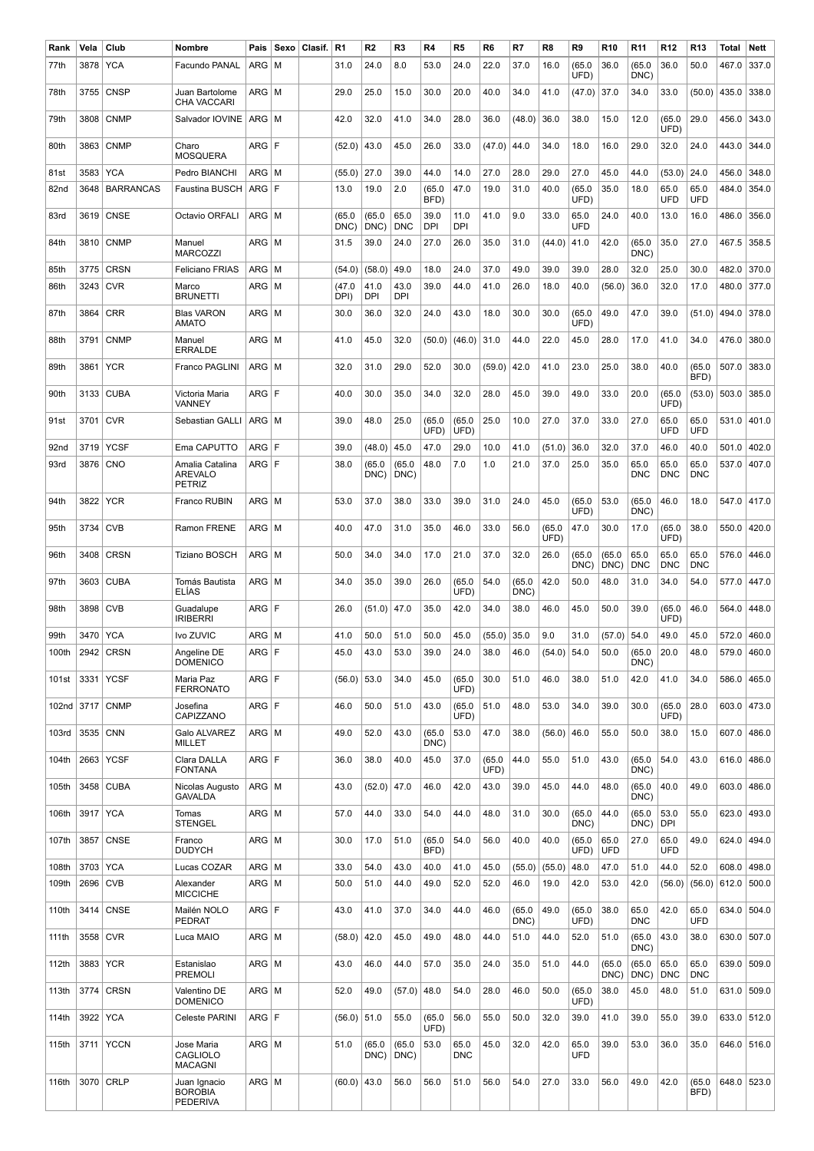| Rank  | Vela     | Club             | Nombre                                             | Pais         | Sexo | Clasif. | R <sub>1</sub> | R2             | R <sub>3</sub>     | R4                 | R <sub>5</sub>     | R <sub>6</sub> | R7             | R <sub>8</sub> | R9             | R <sub>10</sub> | R <sub>11</sub>    | R <sub>12</sub>    | R <sub>13</sub>    | Total | Nett  |
|-------|----------|------------------|----------------------------------------------------|--------------|------|---------|----------------|----------------|--------------------|--------------------|--------------------|----------------|----------------|----------------|----------------|-----------------|--------------------|--------------------|--------------------|-------|-------|
| 77th  | 3878     | <b>YCA</b>       | Facundo PANAL                                      | ARG          | l M  |         | 31.0           | 24.0           | 8.0                | 53.0               | 24.0               | 22.0           | 37.0           | 16.0           | (65.0)<br>UFD) | 36.0            | (65.0)<br>DNC)     | 36.0               | 50.0               | 467.0 | 337.0 |
| 78th  | 3755     | <b>CNSP</b>      | Juan Bartolome<br><b>CHA VACCARI</b>               | $ARG$   M    |      |         | 29.0           | 25.0           | 15.0               | 30.0               | 20.0               | 40.0           | 34.0           | 41.0           | (47.0)         | 37.0            | 34.0               | 33.0               | (50.0)             | 435.0 | 338.0 |
| 79th  | 3808     | <b>CNMP</b>      | Salvador IOVINE                                    | ARG M        |      |         | 42.0           | 32.0           | 41.0               | 34.0               | 28.0               | 36.0           | (48.0)         | 36.0           | 38.0           | 15.0            | 12.0               | (65.0)<br>UFD)     | 29.0               | 456.0 | 343.0 |
| 80th  | 3863     | <b>CNMP</b>      | Charo<br><b>MOSQUERA</b>                           | ARG F        |      |         | (52.0)         | 43.0           | 45.0               | 26.0               | 33.0               | (47.0)         | 44.0           | 34.0           | 18.0           | 16.0            | 29.0               | 32.0               | 24.0               | 443.0 | 344.0 |
| 81st  | 3583     | <b>YCA</b>       | Pedro BIANCHI                                      | $ARG$   M    |      |         | (55.0)         | 27.0           | 39.0               | 44.0               | 14.0               | 27.0           | 28.0           | 29.0           | 27.0           | 45.0            | 44.0               | (53.0)             | 24.0               | 456.0 | 348.0 |
| 82nd  | 3648     | <b>BARRANCAS</b> | <b>Faustina BUSCH</b>                              | ARG F        |      |         | 13.0           | 19.0           | 2.0                | (65.0)<br>BFD)     | 47.0               | 19.0           | 31.0           | 40.0           | (65.0)<br>UFD) | 35.0            | 18.0               | 65.0<br>UFD        | 65.0<br>UFD        | 484.0 | 354.0 |
| 83rd  | 3619     | <b>CNSE</b>      | Octavio ORFALI                                     | $ARG$   M    |      |         | (65.0)<br>DNC) | (65.0)<br>DNC) | 65.0<br><b>DNC</b> | 39.0<br><b>DPI</b> | 11.0<br>DPI        | 41.0           | 9.0            | 33.0           | 65.0<br>UFD    | 24.0            | 40.0               | 13.0               | 16.0               | 486.0 | 356.0 |
| 84th  | 3810     | <b>CNMP</b>      | Manuel<br><b>MARCOZZI</b>                          | ARG   M      |      |         | 31.5           | 39.0           | 24.0               | 27.0               | 26.0               | 35.0           | 31.0           | (44.0)         | 41.0           | 42.0            | (65.0<br>DNC)      | 35.0               | 27.0               | 467.5 | 358.5 |
| 85th  | 3775     | <b>CRSN</b>      | <b>Feliciano FRIAS</b>                             | ARG          | l M  |         | (54.0)         | (58.0)         | 49.0               | 18.0               | 24.0               | 37.0           | 49.0           | 39.0           | 39.0           | 28.0            | 32.0               | 25.0               | 30.0               | 482.0 | 370.0 |
| 86th  | 3243     | <b>CVR</b>       | Marco<br><b>BRUNETTI</b>                           | ARG   M      |      |         | (47.0<br>DPI)  | 41.0<br>DPI    | 43.0<br>DPI        | 39.0               | 44.0               | 41.0           | 26.0           | 18.0           | 40.0           | (56.0)          | 36.0               | 32.0               | 17.0               | 480.0 | 377.0 |
| 87th  | 3864     | <b>CRR</b>       | <b>Blas VARON</b><br><b>AMATO</b>                  | ARG   M      |      |         | 30.0           | 36.0           | 32.0               | 24.0               | 43.0               | 18.0           | 30.0           | 30.0           | (65.0)<br>UFD) | 49.0            | 47.0               | 39.0               | (51.0)             | 494.0 | 378.0 |
| 88th  | 3791     | <b>CNMP</b>      | Manuel<br><b>ERRALDE</b>                           | $ARG$   M    |      |         | 41.0           | 45.0           | 32.0               | (50.0)             | (46.0)             | 31.0           | 44.0           | 22.0           | 45.0           | 28.0            | 17.0               | 41.0               | 34.0               | 476.0 | 380.0 |
| 89th  | 3861     | <b>YCR</b>       | Franco PAGLINI                                     | $ARG \mid M$ |      |         | 32.0           | 31.0           | 29.0               | 52.0               | 30.0               | (59.0)         | 42.0           | 41.0           | 23.0           | 25.0            | 38.0               | 40.0               | (65.0)<br>BFD)     | 507.0 | 383.0 |
| 90th  | 3133     | <b>CUBA</b>      | Victoria Maria<br>VANNEY                           | ARG F        |      |         | 40.0           | 30.0           | 35.0               | 34.0               | 32.0               | 28.0           | 45.0           | 39.0           | 49.0           | 33.0            | 20.0               | (65.0)<br>UFD)     | (53.0)             | 503.0 | 385.0 |
| 91st  | 3701     | <b>CVR</b>       | Sebastian GALLI                                    | $ARG \mid M$ |      |         | 39.0           | 48.0           | 25.0               | (65.0)<br>UFD)     | (65.0)<br>UFD)     | 25.0           | 10.0           | 27.0           | 37.0           | 33.0            | 27.0               | 65.0<br>UFD        | 65.0<br>UFD        | 531.0 | 401.0 |
| 92nd  | 3719     | <b>YCSF</b>      | Ema CAPUTTO                                        | ARG F        |      |         | 39.0           | (48.0)         | 45.0               | 47.0               | 29.0               | 10.0           | 41.0           | (51.0)         | 36.0           | 32.0            | 37.0               | 46.0               | 40.0               | 501.0 | 402.0 |
| 93rd  | 3876     | <b>CNO</b>       | Amalia Catalina<br><b>AREVALO</b><br><b>PETRIZ</b> | ARG F        |      |         | 38.0           | (65.0<br>DNC)  | (65.0)<br>DNC)     | 48.0               | 7.0                | 1.0            | 21.0           | 37.0           | 25.0           | 35.0            | 65.0<br>DNC        | 65.0<br><b>DNC</b> | 65.0<br><b>DNC</b> | 537.0 | 407.0 |
| 94th  | 3822     | <b>YCR</b>       | Franco RUBIN                                       | ARG   M      |      |         | 53.0           | 37.0           | 38.0               | 33.0               | 39.0               | 31.0           | 24.0           | 45.0           | (65.0)<br>UFD) | 53.0            | (65.0)<br>DNC)     | 46.0               | 18.0               | 547.0 | 417.0 |
| 95th  | 3734     | <b>CVB</b>       | Ramon FRENE                                        | ARG   M      |      |         | 40.0           | 47.0           | 31.0               | 35.0               | 46.0               | 33.0           | 56.0           | (65.0)<br>UFD) | 47.0           | 30.0            | 17.0               | (65.0)<br>UFD)     | 38.0               | 550.0 | 420.0 |
| 96th  | 3408     | <b>CRSN</b>      | Tiziano BOSCH                                      | $ARG$   M    |      |         | 50.0           | 34.0           | 34.0               | 17.0               | 21.0               | 37.0           | 32.0           | 26.0           | (65.0<br>DNC)  | (65.0<br>DNC)   | 65.0<br><b>DNC</b> | 65.0<br><b>DNC</b> | 65.0<br><b>DNC</b> | 576.0 | 446.0 |
| 97th  | 3603     | <b>CUBA</b>      | Tomás Bautista<br><b>ELIAS</b>                     | $ARG$   M    |      |         | 34.0           | 35.0           | 39.0               | 26.0               | (65.0)<br>UFD)     | 54.0           | (65.0)<br>DNC) | 42.0           | 50.0           | 48.0            | 31.0               | 34.0               | 54.0               | 577.0 | 447.0 |
| 98th  | 3898     | <b>CVB</b>       | Guadalupe<br><b>IRIBERRI</b>                       | ARG F        |      |         | 26.0           | (51.0)         | 47.0               | 35.0               | 42.0               | 34.0           | 38.0           | 46.0           | 45.0           | 50.0            | 39.0               | (65.0)<br>UFD)     | 46.0               | 564.0 | 448.0 |
| 99th  | 3470     | <b>YCA</b>       | Ivo ZUVIC                                          | $ARG$   M    |      |         | 41.0           | 50.0           | 51.0               | 50.0               | 45.0               | (55.0)         | 35.0           | 9.0            | 31.0           | (57.0)          | 54.0               | 49.0               | 45.0               | 572.0 | 460.0 |
| 100th | 2942     | <b>CRSN</b>      | Angeline DE<br><b>DOMENICO</b>                     | ARG F        |      |         | 45.0           | 43.0           | 53.0               | 39.0               | 24.0               | 38.0           | 46.0           | (54.0)         | 54.0           | 50.0            | (65.0)<br>DNC)     | 20.0               | 48.0               | 579.0 | 460.0 |
| 101st | 3331     | <b>YCSF</b>      | Maria Paz<br><b>FERRONATO</b>                      | ARG F        |      |         | (56.0)         | 53.0           | 34.0               | 45.0               | (65.0)<br>UFD)     | 30.0           | 51.0           | 46.0           | 38.0           | 51.0            | 42.0               | 41.0               | 34.0               | 586.0 | 465.0 |
| 102nd | 3717     | <b>CNMP</b>      | Josefina<br>CAPIZZANO                              | ARG F        |      |         | 46.0           | 50.0           | 51.0               | 43.0               | (65.0)<br>UFD)     | 51.0           | 48.0           | 53.0           | 34.0           | 39.0            | 30.0               | (65.0)<br>UFD)     | 28.0               | 603.0 | 473.0 |
| 103rd | 3535     | <b>CNN</b>       | Galo ALVAREZ<br><b>MILLET</b>                      | $ARG \mid M$ |      |         | 49.0           | 52.0           | 43.0               | (65.0)<br>DNC)     | 53.0               | 47.0           | 38.0           | (56.0)         | 46.0           | 55.0            | 50.0               | 38.0               | 15.0               | 607.0 | 486.0 |
| 104th | 2663     | <b>YCSF</b>      | Clara DALLA<br><b>FONTANA</b>                      | ARG F        |      |         | 36.0           | 38.0           | 40.0               | 45.0               | 37.0               | (65.0)<br>UFD) | 44.0           | 55.0           | 51.0           | 43.0            | (65.0<br>DNC)      | 54.0               | 43.0               | 616.0 | 486.0 |
| 105th | 3458     | <b>CUBA</b>      | Nicolas Augusto<br><b>GAVALDA</b>                  | $ARG \mid M$ |      |         | 43.0           | (52.0)         | 47.0               | 46.0               | 42.0               | 43.0           | 39.0           | 45.0           | 44.0           | 48.0            | (65.0)<br>DNC)     | 40.0               | 49.0               | 603.0 | 486.0 |
| 106th | 3917     | <b>YCA</b>       | Tomas<br><b>STENGEL</b>                            | $ARG \mid M$ |      |         | 57.0           | 44.0           | 33.0               | 54.0               | 44.0               | 48.0           | 31.0           | 30.0           | (65.0)<br>DNC) | 44.0            | (65.0)<br>DNC)     | 53.0<br>DPI        | 55.0               | 623.0 | 493.0 |
| 107th | 3857     | <b>CNSE</b>      | Franco<br><b>DUDYCH</b>                            | ARG   M      |      |         | 30.0           | 17.0           | 51.0               | (65.0)<br>BFD)     | 54.0               | 56.0           | 40.0           | 40.0           | (65.0)<br>UFD) | 65.0<br>UFD     | 27.0               | 65.0<br>UFD        | 49.0               | 624.0 | 494.0 |
| 108th | 3703 YCA |                  | Lucas COZAR                                        | $ARG \mid M$ |      |         | 33.0           | 54.0           | 43.0               | 40.0               | 41.0               | 45.0           | (55.0)         | (55.0)         | 48.0           | 47.0            | 51.0               | 44.0               | 52.0               | 608.0 | 498.0 |
| 109th | 2696     | <b>CVB</b>       | Alexander<br><b>MICCICHE</b>                       | ARG   M      |      |         | 50.0           | 51.0           | 44.0               | 49.0               | 52.0               | 52.0           | 46.0           | 19.0           | 42.0           | 53.0            | 42.0               | (56.0)             | (56.0)             | 612.0 | 500.0 |
| 110th | 3414     | <b>CNSE</b>      | Mailén NOLO<br>PEDRAT                              | ARG F        |      |         | 43.0           | 41.0           | 37.0               | 34.0               | 44.0               | 46.0           | (65.0)<br>DNC) | 49.0           | (65.0)<br>UFD) | 38.0            | 65.0<br><b>DNC</b> | 42.0               | 65.0<br>UFD        | 634.0 | 504.0 |
| 111th | 3558     | <b>CVR</b>       | Luca MAIO                                          | $ARG \mid M$ |      |         | (58.0)         | 42.0           | 45.0               | 49.0               | 48.0               | 44.0           | 51.0           | 44.0           | 52.0           | 51.0            | (65.0)<br>DNC)     | 43.0               | 38.0               | 630.0 | 507.0 |
| 112th | 3883     | <b>YCR</b>       | Estanislao<br><b>PREMOLI</b>                       | $ARG \mid M$ |      |         | 43.0           | 46.0           | 44.0               | 57.0               | 35.0               | 24.0           | 35.0           | 51.0           | 44.0           | (65.0)<br>DNC)  | (65.0)<br>DNC)     | 65.0<br>DNC        | 65.0<br><b>DNC</b> | 639.0 | 509.0 |
| 113th | 3774     | <b>CRSN</b>      | Valentino DE<br><b>DOMENICO</b>                    | $ARG \mid M$ |      |         | 52.0           | 49.0           | (57.0)             | 48.0               | 54.0               | 28.0           | 46.0           | 50.0           | (65.0)<br>UFD) | 38.0            | 45.0               | 48.0               | 51.0               | 631.0 | 509.0 |
| 114th | 3922     | <b>YCA</b>       | Celeste PARINI                                     | ARG F        |      |         | $(56.0)$ 51.0  |                | 55.0               | (65.0)<br>UFD)     | 56.0               | 55.0           | 50.0           | 32.0           | 39.0           | 41.0            | 39.0               | 55.0               | 39.0               | 633.0 | 512.0 |
| 115th | 3711     | <b>YCCN</b>      | Jose Maria<br>CAGLIOLO<br><b>MACAGNI</b>           | $ARG \mid M$ |      |         | 51.0           | (65.0)<br>DNC) | (65.0)<br>DNC)     | 53.0               | 65.0<br><b>DNC</b> | 45.0           | 32.0           | 42.0           | 65.0<br>UFD    | 39.0            | 53.0               | 36.0               | 35.0               | 646.0 | 516.0 |
| 116th | 3070     | <b>CRLP</b>      | Juan Ignacio<br><b>BOROBIA</b><br><b>PEDERIVA</b>  | $ARG \mid M$ |      |         | (60.0)         | 43.0           | 56.0               | 56.0               | 51.0               | 56.0           | 54.0           | 27.0           | 33.0           | 56.0            | 49.0               | 42.0               | (65.0)<br>BFD)     | 648.0 | 523.0 |